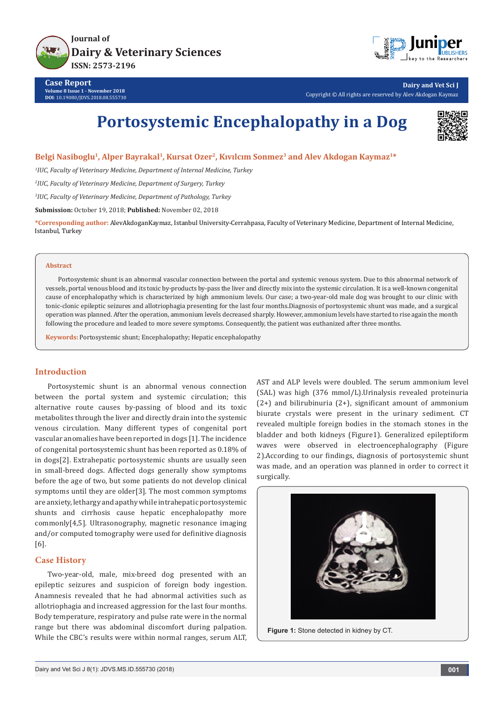



**Dairy and Vet Sci J** Copyright © All rights are reserved by Alev Akdogan Kaymaz

# **Portosystemic Encephalopathy in a Dog**



**Belgi Nasiboglu1, Alper Bayrakal1, Kursat Ozer2, Kıvılcım Sonmez3 and Alev Akdogan Kaymaz1\***

*1 IUC, Faculty of Veterinary Medicine, Department of Internal Medicine, Turkey*

*2 IUC, Faculty of Veterinary Medicine, Department of Surgery, Turkey*

*3 IUC, Faculty of Veterinary Medicine, Department of Pathology, Turkey*

**Submission:** October 19, 2018; **Published:** November 02, 2018

**\*Corresponding author:** AlevAkdoganKaymaz, Istanbul University-Cerrahpasa, Faculty of Veterinary Medicine, Department of Internal Medicine, Istanbul, Turkey

#### **Abstract**

Portosystemic shunt is an abnormal vascular connection between the portal and systemic venous system. Due to this abnormal network of vessels, portal venous blood and its toxic by-products by-pass the liver and directly mix into the systemic circulation. It is a well-known congenital cause of encephalopathy which is characterized by high ammonium levels. Our case; a two-year-old male dog was brought to our clinic with tonic-clonic epileptic seizures and allotriophagia presenting for the last four months.Diagnosis of portosystemic shunt was made, and a surgical operation was planned. After the operation, ammonium levels decreased sharply. However, ammonium levels have started to rise again the month following the procedure and leaded to more severe symptoms. Consequently, the patient was euthanized after three months.

**Keywords:** Portosystemic shunt; Encephalopathy; Hepatic encephalopathy

### **Introduction**

Portosystemic shunt is an abnormal venous connection between the portal system and systemic circulation; this alternative route causes by-passing of blood and its toxic metabolites through the liver and directly drain into the systemic venous circulation. Many different types of congenital port vascular anomalies have been reported in dogs [1]. The incidence of congenital portosystemic shunt has been reported as 0.18% of in dogs[2]. Extrahepatic portosystemic shunts are usually seen in small-breed dogs. Affected dogs generally show symptoms before the age of two, but some patients do not develop clinical symptoms until they are older[3]. The most common symptoms are anxiety, lethargy and apathy while intrahepatic portosystemic shunts and cirrhosis cause hepatic encephalopathy more commonly[4,5]. Ultrasonography, magnetic resonance imaging and/or computed tomography were used for definitive diagnosis [6].

## **Case History**

Two-year-old, male, mix-breed dog presented with an epileptic seizures and suspicion of foreign body ingestion. Anamnesis revealed that he had abnormal activities such as allotriophagia and increased aggression for the last four months. Body temperature, respiratory and pulse rate were in the normal range but there was abdominal discomfort during palpation. While the CBC's results were within normal ranges, serum ALT, AST and ALP levels were doubled. The serum ammonium level (SAL) was high (376 mmol/L).Urinalysis revealed proteinuria (2+) and bilirubinuria (2+), significant amount of ammonium biurate crystals were present in the urinary sediment. CT revealed multiple foreign bodies in the stomach stones in the bladder and both kidneys (Figure1). Generalized epileptiform waves were observed in electroencephalography (Figure 2).According to our findings, diagnosis of portosystemic shunt was made, and an operation was planned in order to correct it surgically.



**Figure 1:** Stone detected in kidney by CT.